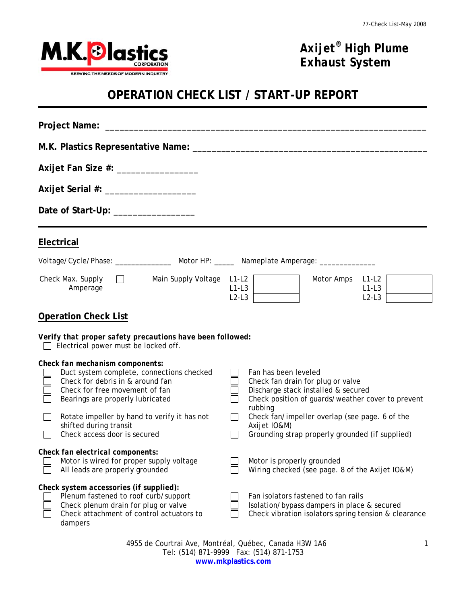

## *Axijet® High Plume Exhaust System*

## **OPERATION CHECK LIST / START-UP REPORT**

| Axijet Fan Size #: __________________                                                                                                                                                                                                                                      |                                                                                                                                                                                                                                         |  |
|----------------------------------------------------------------------------------------------------------------------------------------------------------------------------------------------------------------------------------------------------------------------------|-----------------------------------------------------------------------------------------------------------------------------------------------------------------------------------------------------------------------------------------|--|
|                                                                                                                                                                                                                                                                            |                                                                                                                                                                                                                                         |  |
| Date of Start-Up: ________________                                                                                                                                                                                                                                         |                                                                                                                                                                                                                                         |  |
| <b>Electrical</b>                                                                                                                                                                                                                                                          |                                                                                                                                                                                                                                         |  |
| Voltage/Cycle/Phase: _________________ Motor HP: ______ Nameplate Amperage: ____________                                                                                                                                                                                   |                                                                                                                                                                                                                                         |  |
| Check Max. Supply $\Box$<br>Main Supply Voltage L1-L2<br>Amperage                                                                                                                                                                                                          | Motor Amps<br>$L1-L2$<br>$L1-L3$<br>$L1-L3$<br>$L2-L3$<br>$L2-L3$                                                                                                                                                                       |  |
| <b>Operation Check List</b>                                                                                                                                                                                                                                                |                                                                                                                                                                                                                                         |  |
| Verify that proper safety precautions have been followed:<br>$\Box$ Electrical power must be locked off.                                                                                                                                                                   |                                                                                                                                                                                                                                         |  |
| Check fan mechanism components:<br>Duct system complete, connections checked<br>Check for debris in & around fan<br>Check for free movement of fan<br>Bearings are properly lubricated<br>Rotate impeller by hand to verify it has not<br>$\Box$<br>shifted during transit | Fan has been leveled<br>Check fan drain for plug or valve<br>Discharge stack installed & secured<br>Check position of guards/weather cover to prevent<br>rubbing<br>Check fan/impeller overlap (see page. 6 of the<br>П<br>Axijet IO&M) |  |
| Check access door is secured<br>$\mathbf{L}$                                                                                                                                                                                                                               | Grounding strap properly grounded (if supplied)<br>$\perp$                                                                                                                                                                              |  |
| Check fan electrical components:<br>Motor is wired for proper supply voltage<br>All leads are properly grounded                                                                                                                                                            | Motor is properly grounded<br>Wiring checked (see page. 8 of the Axijet IO&M)                                                                                                                                                           |  |
| Check system accessories (if supplied):<br>Plenum fastened to roof curb/support<br>Check plenum drain for plug or valve<br>Check attachment of control actuators to<br>dampers                                                                                             | Fan isolators fastened to fan rails<br>Isolation/bypass dampers in place & secured<br>Check vibration isolators spring tension & clearance                                                                                              |  |

4955 de Courtrai Ave, Montréal, Québec, Canada H3W 1A6 Tel: (514) 871-9999 Fax: (514) 871-1753 **www.mkplastics.com**